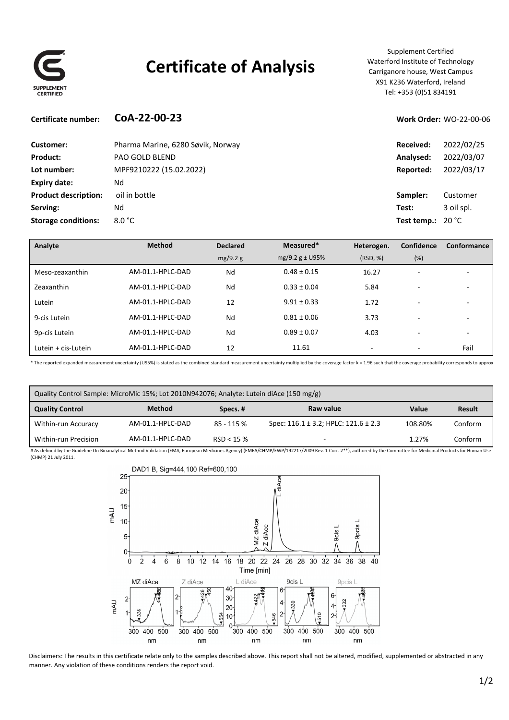

## **Certificate of Analysis**

Supplement Certified Waterford Institute of Technology Carriganore house, West Campus X91 K236 Waterford, Ireland Tel: +353 (0)51 834191

#### **Certificate number: CoA‐22‐00‐23 Work Order:** WO‐22‐00‐06

| Customer:                   | Pharma Marine, 6280 Søvik, Norway | Received:                          | 2022/02/25 |
|-----------------------------|-----------------------------------|------------------------------------|------------|
| Product:                    | <b>PAO GOLD BLEND</b>             | Analysed:                          | 2022/03/07 |
| Lot number:                 | MPF9210222 (15.02.2022)           | Reported:                          | 2022/03/17 |
| Expiry date:                | Νd                                |                                    |            |
| <b>Product description:</b> | oil in bottle                     | Sampler:                           | Customer   |
| Serving:                    | Nd                                | Test:                              | 3 oil spl. |
| <b>Storage conditions:</b>  | $8.0\degree$ C                    | <b>Test temp.:</b> 20 $^{\circ}$ C |            |
|                             |                                   |                                    |            |

| Analyte             | <b>Method</b>    | <b>Declared</b> | Measured*           | Heterogen. | Confidence               | Conformance              |
|---------------------|------------------|-----------------|---------------------|------------|--------------------------|--------------------------|
|                     |                  | mg/9.2 g        | $mg/9.2 g \pm U95%$ | (RSD, %)   | (%)                      |                          |
| Meso-zeaxanthin     | AM-01.1-HPLC-DAD | Nd              | $0.48 \pm 0.15$     | 16.27      | $\overline{\phantom{0}}$ |                          |
| Zeaxanthin          | AM-01.1-HPLC-DAD | Nd              | $0.33 \pm 0.04$     | 5.84       | $\overline{\phantom{0}}$ |                          |
| Lutein              | AM-01.1-HPLC-DAD | 12              | $9.91 \pm 0.33$     | 1.72       |                          |                          |
| 9-cis Lutein        | AM-01.1-HPLC-DAD | Nd              | $0.81 \pm 0.06$     | 3.73       |                          |                          |
| 9p-cis Lutein       | AM-01.1-HPLC-DAD | Nd              | $0.89 \pm 0.07$     | 4.03       |                          | $\overline{\phantom{0}}$ |
| Lutein + cis-Lutein | AM-01.1-HPLC-DAD | 12              | 11.61               | ۰          |                          | Fail                     |

\* The reported expanded measurement uncertainty (U95%) is stated as the combined standard measurement uncertainty multiplied by the coverage factor k = 1.96 such that the coverage probability corresponds to approx

| Quality Control Sample: MicroMic 15%; Lot 2010N942076; Analyte: Lutein diAce (150 mg/g) |                  |            |                                               |         |         |
|-----------------------------------------------------------------------------------------|------------------|------------|-----------------------------------------------|---------|---------|
| <b>Quality Control</b>                                                                  | <b>Method</b>    | Specs.#    | Raw value                                     | Value   | Result  |
| Within-run Accuracy                                                                     | AM-01.1-HPLC-DAD | 85 - 115 % | Spec: $116.1 \pm 3.2$ ; HPLC: $121.6 \pm 2.3$ | 108.80% | Conform |
| Within-run Precision                                                                    | AM-01.1-HPLC-DAD | RSD < 15%  | -                                             | 1.27%   | Conform |

# As defined by the Guideline On Bioanalytical Method Validation (EMA, European Medicines Agency) (EMEA/CHMP/EWP/192217/2009 Rev. 1 Corr. 2\*\*), authored by the Committee for Medicinal Products for Human Use (CHMP) 21 July 2011.



Disclaimers: The results in this certificate relate only to the samples described above. This report shall not be altered, modified, supplemented or abstracted in any manner. Any violation of these conditions renders the report void.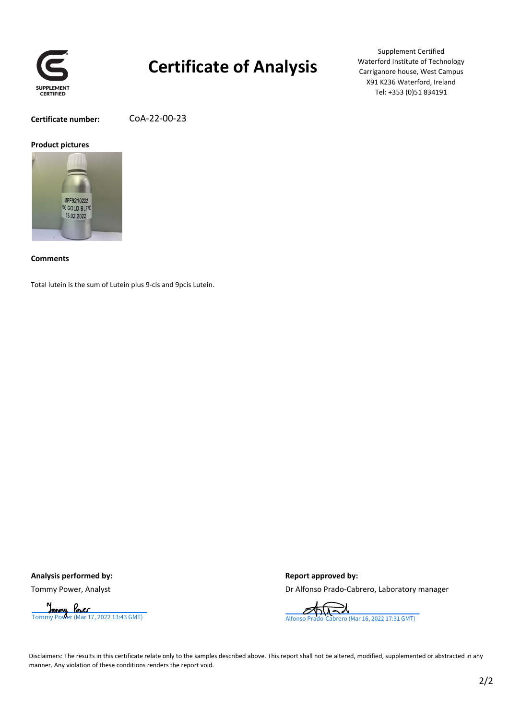

## **Certificate of Analysis**

Supplement Certified Waterford Institute of Technology Carriganore house, West Campus X91 K236 Waterford, Ireland Tel: +353 (0)51 834191

**Certificate number:** CoA‐22‐00‐23

#### **Product pictures**



**Comments**

Total lutein is the sum of Lutein plus 9‐cis and 9pcis Lutein.

Analysis performed by:  $\qquad \qquad$  **Report** approved by:

Tommy Power, Analyst **Drammy Power, Analyst** Drammy Power, Analyst Drammy Power, Analyst



Disclaimers: The results in this certificate relate only to the samples described above. This report shall not be altered, modified, supplemented or abstracted in any manner. Any violation of these conditions renders the report void.